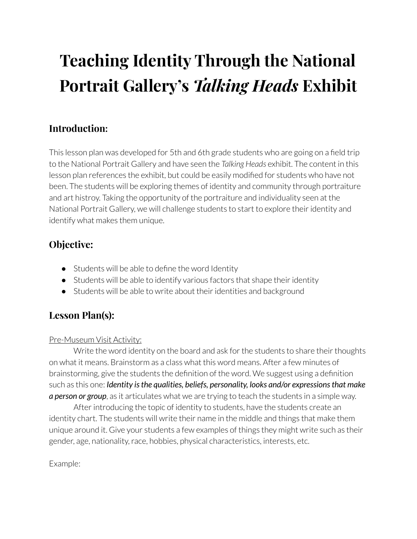# **Teaching Identity Through the National Portrait Gallery's** *Talking Heads* **Exhibit**

## **Introduction:**

This lesson plan was developed for 5th and 6th grade students who are going on a field trip to the National Portrait Gallery and have seen the *Talking Heads* exhibit. The content in this lesson plan references the exhibit, but could be easily modified for students who have not been. The students will be exploring themes of identity and community through portraiture and art histroy. Taking the opportunity of the portraiture and individuality seen at the National Portrait Gallery, we will challenge students to start to explore their identity and identify what makes them unique.

#### **Objective:**

- Students will be able to define the word Identity
- Students will be able to identify various factors that shape their identity
- Students will be able to write about their identities and background

## **Lesson Plan(s):**

#### Pre-Museum Visit Activity:

Write the word identity on the board and ask for the students to share their thoughts on what it means. Brainstorm as a class what this word means. After a few minutes of brainstorming, give the students the definition of the word. We suggest using a definition such as this one: *Identity isthe qualities, beliefs, personality, looks and/or expressionsthat make a person or group*, as it articulates what we are trying to teach the students in a simple way.

After introducing the topic of identity to students, have the students create an identity chart. The students will write their name in the middle and things that make them unique around it. Give your students a few examples of things they might write such as their gender, age, nationality, race, hobbies, physical characteristics, interests, etc.

Example: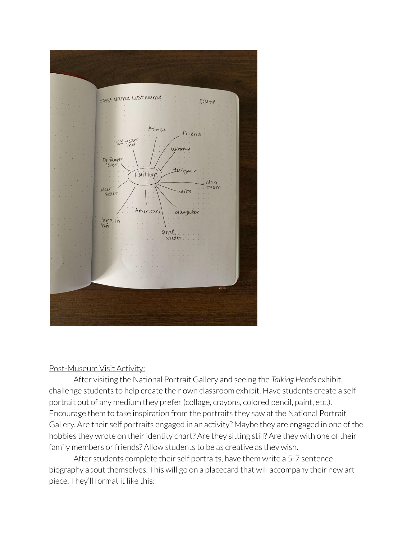

#### Post-Museum Visit Activity:

After visiting the National Portrait Gallery and seeing the *Talking Heads* exhibit, challenge students to help create their own classroom exhibit. Have students create a self portrait out of any medium they prefer (collage, crayons, colored pencil, paint, etc.). Encourage them to take inspiration from the portraits they saw at the National Portrait Gallery. Are their self portraits engaged in an activity? Maybe they are engaged in one of the hobbies they wrote on their identity chart? Are they sitting still? Are they with one of their family members or friends? Allow students to be as creative as they wish.

After students complete their self portraits, have them write a 5-7 sentence biography about themselves. This will go on a placecard that will accompany their new art piece. They'll format it like this: